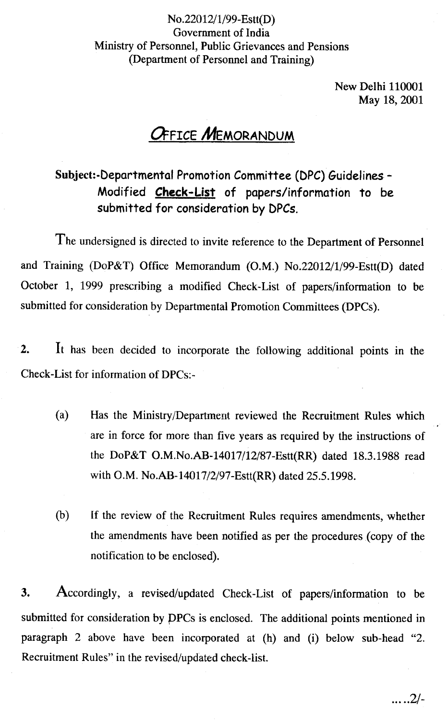### No.22012/1/99-Estt(D) Government of India Ministry of Personnel, Public Grievances and Pensions (Department of Personnel and Training)

New Delhi 110001 May 18,2001

# **OFFICE MEMORANDUM**

Subject:-Departmental Promotion Committee (DPC) Guidelines -Modified Check-List of papers/information to be submitted for consideration by DPCs.

The undersigned is directed to invite reference to the Department of Personnel and Training (DoP&T) Office Memorandum (O.M.) No.22012/1/99-Estt(D) dated October 1, 1999 prescribing a modified Check-List of papers/information to be submitted for consideration by Departmental Promotion Committees (DPCs).

2. It has been decided to incorporate the following additional points in the Check-List for information of DPCs:-

- (a) Has the Ministry/Department reviewed the Recruitment Rules which are in force for more than five years as required by the instructions of the DoP&T O.M.No.AB-14017/12/87-Estt(RR) dated 18.3.1988 read with O.M. No.AB-14017/2/97-Estt(RR) dated 25.5.1998.
- (b) If the review of the Recruitment Rules requires amendments, whether the amendments have been notified as per the procedures (copy of the notification to be enclosed).

3. Accordingly, a revised/updated Check -List of papers/information to be submitted for consideration by PPCs is enclosed. The additional points mentioned in paragraph 2 above have been incorporated at (h) and (i) below sub-head "2. Recruitment Rules" in the revised/updated check-list.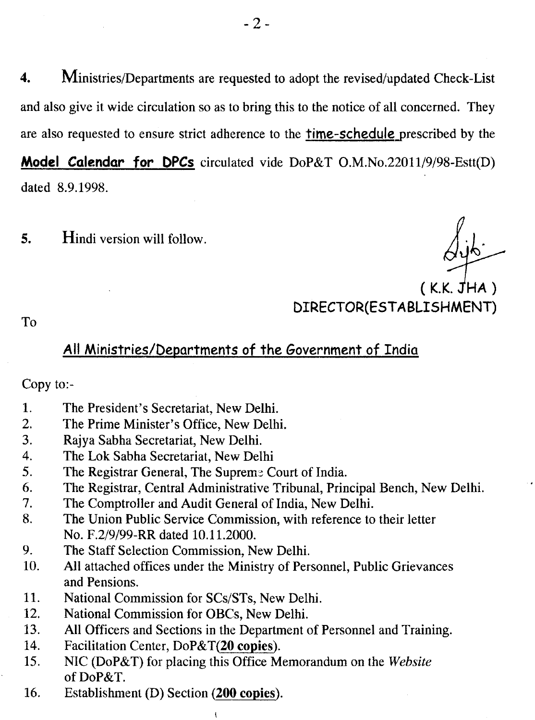4. Ministries/Departments are requested to adopt the revised/updated Check-List and also give it wide circulation so as to bring this to the notice of all concerned. They are also requested to ensure strict adherence to the time-schedule prescribed by the **Model Calendar for DPCs** circulated vide DoP&T O.M.No.22011/9/98-Estt(D) dated 8.9.1998.

Hindi version will follow.  $5.$ 

*l~·*

 $(K.K. JHA)$ DIRECTOR(ESTABLISHMENT)

To

### All Ministries/Departments of the Government of India

Copy to:-

- 1. The President's Secretariat, New Delhi.
- 2. The Prime Minister's Office, New Delhi.
- 3. Rajya Sabha Secretariat, New Delhi.
- 4. The Lok Sabha Secretariat, New Delhi
- 5. The Registrar General, The Supreme Court of India.
- 6. The Registrar, Central Administrative Tribunal, Principal Bench, New Delhi.
- 7. The Comptroller and Audit General of India, New Delhi.
- 8. The Union Public Service Commission, with reference to their letter No. F.2/9/99-RR dated 10.11.2000.
- 9. The Staff Selection Commission, New Delhi.
- 10. All attached offices under the Ministry of Personnel, Public Grievances and Pensions.
- 11. National Commission for SCs/STs, New Delhi.
- 12. National Commission for OBCs, New Delhi.
- 13. All Officers and Sections in the Department of Personnel and Training.
- 14. Facilitation Center, DoP&T(20 copies).
- 15. NIC (DoP&T) for placing this Office Memorandum on the *Website* of DoP&T.
- 16. Establishment (D) Section (200 copies).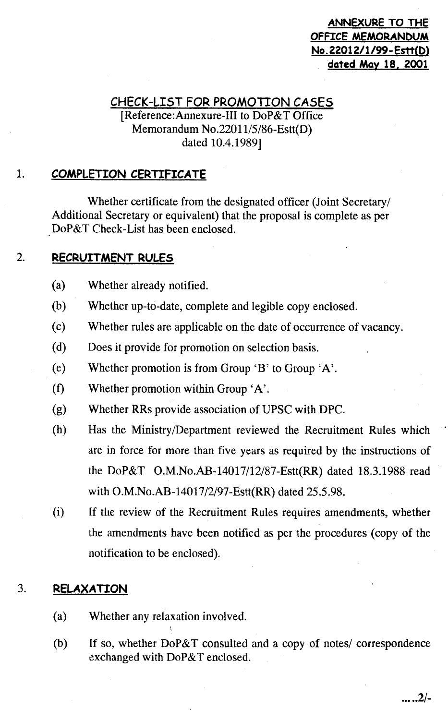### **ANNEXURE TO THE OFfICE MEMORANDUM No. 22012/1/99- Estt(D) dated May 18. 2001**

## **CHECK-LIST FOR PROMOTION CASES**

### [Reference:Annexure-III to DoP&T Office Memorandum No.22011/5/86-Estt(D) dated 10.4.1989]

#### $\mathbf{1}$ . COMPLETION CERTIFICATE

Whether certificate from the designated officer (Joint Secretary/ Additional Secretary or equivalent) that the proposal is complete as per DoP&T Check-List has been enclosed.

#### $\overline{2}$ . RECRUITMENT RULES

- (a) Whether already notified.
- (b) Whether up-to-date, complete and legible copy enclosed.
- (c) Whether rules are applicable on the date of occurrence of vacancy.
- (d) Does it provide for promotion on selection basis.
- (e) Whether promotion is from Group ' $B'$  to Group ' $A'$ .
- (f) Whether promotion within Group  $A$ <sup>'</sup>.
- (g) Whether RRs provide association of UPSC with DPC.
- (h) Has the Ministry/Department reviewed the Recruitment Rules which are in force for more than five years as required by the instructions of the DoP&T O.M.No.AB-14017/12/87-Estt(RR) dated 18.3.1988 read with O.M.No.AB-14017/2/97-Estt(RR) dated 25.5.98.
- (i) If the review of the Recruitment Rules requires amendments, whether the amendments have been notified as per the procedures (copy of the notification to be enclosed).

#### 3. **RELAXATION**

- (a) Whether any relaxation involved.
- (b) If so, whether DoP&T consulted and a copy of notes/ correspondence exchanged with DoP&T enclosed.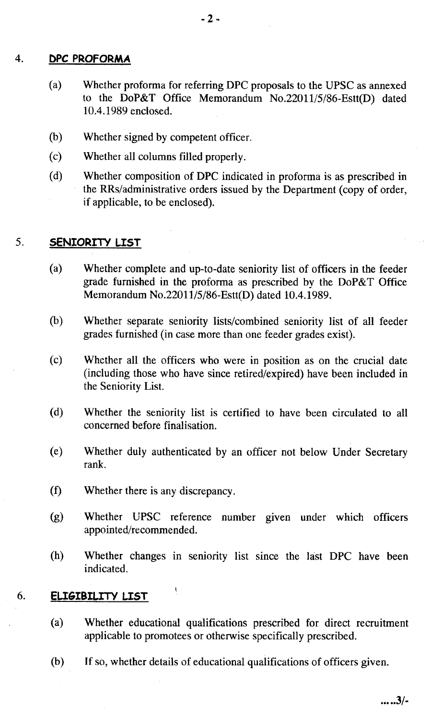#### $\overline{4}$ . DPC PROFORMA

- (a) Whether proforma for referring DPC proposals to the UPSC as annexed to the DoP&T Office Memorandum No.22011/5/86-Estt(D) dated 10.4.1989 enclosed.
- (b) Whether signed by competent officer.
- (c) Whether all columns filled properly.
- (d) Whether composition of DPC indicated in proforma is as prescribed in the RRs/administrative orders issued by the Department (copy of order, if applicable, to be enclosed).

#### 5. SENIORITY LIST

- (a) Whether complete and up-to-date seniority list of officers in the feeder grade furnished in the proforma as prescribed by the DoP&T Office Memorandum No.2201115/86-Estt(D) dated 10.4.1989.
- (b) Whether separate seniority lists/combined seniority list of all feeder grades furnished (in case more than one feeder grades exist).
- (c) Whether all the officers who were in position as on the crucial date (including those who have since retired/expired) have been included in the Seniority List.
- (d) Whether the seniority list is certified to have been circulated to all concerned before finalisation.
- (e) Whether duly authenticated by an officer not below Under Secretary rank.
- $\left( f\right)$ Whether there is any discrepancy.

 $\mathbf{i}$ 

- (g) Whether UPSC reference number given under which officers appointed/recommended.
- (h) Whether changes in seniority list since the hist DPC have been indicated.

#### **ELIGIBILITY LIST** 6.

- (a) Whether educational qualifications prescribed for direct recruitment applicable to promotees or otherwise specifically prescribed.
- $(b)$ If so, whether details of educational qualifications of officers given.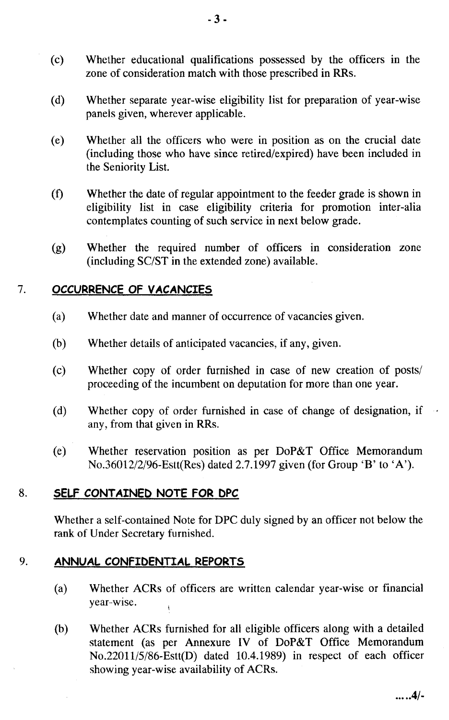- (c) Whether educational qualifications possessed by the officers in the zone of consideration match with those prescribed in RRs.
- (d) Whether separate year-wise eligibility list for preparation of year-wise panels given, wherever applicable.
- (e) Whether all the officers who were in position as on the crucial date (including those who have since retired/expired) have been included in the Seniority List.
- (1) Whether the date of regular appointment to the feeder grade is shown in eligibility list in case eligibility criteria for promotion inter-alia contemplates counting of such service in next below grade.
- (g) Whether the required number of officers in consideration zone (including SC/ST in the extended zone) available.

#### OCCURRENCE OF VACANCIES  $7<sub>1</sub>$

- $(a)$ Whether date and manner of occurrence of vacancies given.
- Whether details of anticipated vacancies, if any, given.  $(b)$
- (c) Whether copy of order furnished in case of new creation of posts/ proceeding of the incumbent on deputation for more than one year.
- (d) Whether copy of order furnished in case of change of designation, if any, from that given in RRs.
- (e) Whether reservation position as per DoP&T Office Memorandum No.36012/2/96-Estt(Res) dated 2.7.1997 given (for Group 'B' to 'A').

#### 8. SELF CONTAINED NOTE FOR DPC

Whether a self-contained Note for DPC duly signed by an officer not below the rank of Under Secretary furnished.

#### 9. ANNUAL CONFIDENTIAL REPORTS

- (a) Whether ACRs of officers are written calendar year-wise or financial year·-wise.
- (b) Whether ACRs furnished for all eligible officers along with a detailed statement (as per Annexure IV of DoP&T Office Memorandum No.22011/5/86-Estt(D) dated 10.4.1989) in respect of each officer showing year-wise availability of ACRs.

 $... 0.4/7$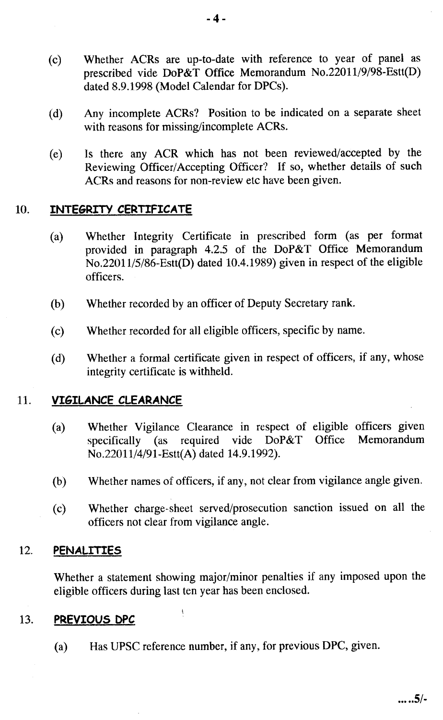- (c) Whether ACRs are up-to-date with reference to year of panel as prescribed vide DoP&T Office Memorandum No.22011/9198-Estt(D) dated 8.9.1998 (Model Calendar for DPCs).
- (d) Any incomplete ACRs? Position to be indicated on a separate sheet with reasons for missing/incomplete ACRs.
- (e) Is there any ACR which has not been reviewed/accepted by the Reviewing Officer/Accepting Officer? If so, whether details of such ACRs and reasons for non-review etc have been given.

#### $10<sub>1</sub>$ INTEGRITY CERTIFICATE

- (a) Whether Integrity Certificate in prescribed form (as per format provided in paragraph 4.2.5 of the DoP&T Office Memorandum No.22011/5/86-Estt(D) dated 10.4.1989) given in respect of the eligible officers.
- $(b)$ Whether recorded by an officer of Deputy Secretary rank.
- Whether recorded for all eligible officers, specific by name.  $(c)$
- (d) Whether a formal certificate given in respect of officers, if any, whose integrity certificate is withheld.

#### VIGILANCE CLEARANCE 11.

- (a) Whether Vigilance Clearance in respect of eligible officers given specifically (as required vide DoP&T Office Memorandum No.22011/4/91-Estt(A) dated 14.9.1992).
- Whether names of officers, if any, not clear from vigilance angle given.  $(b)$
- (c) Whether charge-sheet served/prosecution sanction issued on all the officers not clear from vigilance angle.

#### 12. PENALITIES

Whether a statement showing major/minor penalties if any imposed upon the eligible officers during last ten year has been enclosed.

#### 13. PREVIOUS DPC

Has UPSC reference number, if any, for previous DPC, given.  $(a)$ 

 $\mathfrak{t}$